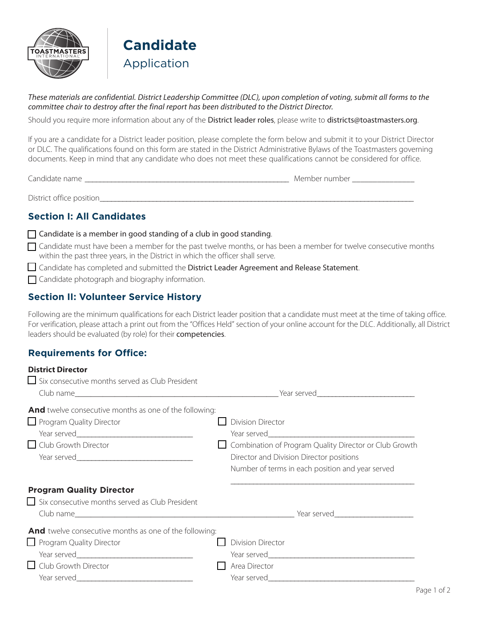



*These materials are confidential. District Leadership Committee (DLC), upon completion of voting, submit all forms to the committee chair to destroy after the final report has been distributed to the District Director.* 

Should you require more information about any of the [District leader roles](https://www.toastmasters.org/leadership-central/district-leader-tools/leadership-roles), please write to districts@toastmasters.org.

If you are a candidate for a District leader position, please complete the form below and submit it to your District Director or DLC. The qualifications found on this form are stated in the District Administrative Bylaws of the Toastmasters governing documents. Keep in mind that any candidate who does not meet these qualifications cannot be considered for office.

Candidate name **and the set of the set of the set of the set of the set of the set of the set of the set of the set of the set of the set of the set of the set of the set of the set of the set of the set of the set of the** 

District office position\_\_\_\_\_\_\_\_\_\_\_\_\_\_\_\_\_\_\_\_\_\_\_\_\_\_\_\_\_\_\_\_\_\_\_\_\_\_\_\_\_\_\_\_\_\_\_\_\_\_\_\_\_\_\_\_\_\_\_\_\_\_\_\_\_\_\_\_\_\_\_\_\_\_\_\_\_\_\_\_\_\_\_

## **Section I: All Candidates**

[Candidate is a member in good standing of a club in good standing](http://www.toastmasters.org/Leadership-Central/Governing-Documents#Policy20ClubandMembershipEligibility453).

 $\Box$  Candidate must have been a member for the past twelve months, or has been a member for twelve consecutive months within the past three years, in the District in which the officer shall serve.

Candidate has completed and submitted the District Leader [Agreement and Release Statement](http://www.toastmasters.org/OAR).

Candidate photograph and biography information.

## **Section II: Volunteer Service History**

Following are the minimum qualifications for each District leader position that a candidate must meet at the time of taking office. For verification, please attach a print out from the "Offices Held" section of your online account for the DLC. Additionally, all District leaders should be evaluated (by role) for their [competencies](https://www.toastmasters.org/~/media/9D123F7A018949E3B3C9E2A71DA6AC56.ashx).

# **Requirements for Office:**

| <b>District Director</b><br>Six consecutive months served as Club President                                       |                                                                                                                                                                                    |
|-------------------------------------------------------------------------------------------------------------------|------------------------------------------------------------------------------------------------------------------------------------------------------------------------------------|
|                                                                                                                   |                                                                                                                                                                                    |
| And twelve consecutive months as one of the following:<br>Program Quality Director<br>$\Box$ Club Growth Director | <b>Division Director</b><br>Combination of Program Quality Director or Club Growth<br>Director and Division Director positions<br>Number of terms in each position and year served |
| <b>Program Quality Director</b><br>$\Box$ Six consecutive months served as Club President                         |                                                                                                                                                                                    |
| And twelve consecutive months as one of the following:<br>Program Quality Director<br>$\Box$ Club Growth Director | <b>Division Director</b><br>Area Director                                                                                                                                          |